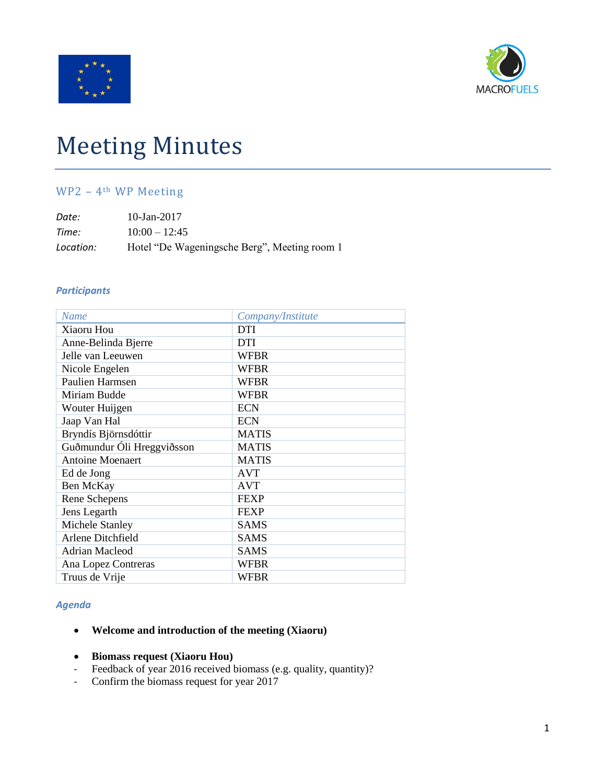



# Meeting Minutes

## WP2 – 4th WP Meeting

| Date:     | 10-Jan-2017                                  |
|-----------|----------------------------------------------|
| Time:     | $10:00 - 12:45$                              |
| Location: | Hotel "De Wageningsche Berg", Meeting room 1 |

#### *Participants*

| Name                       | Company/Institute |
|----------------------------|-------------------|
| Xiaoru Hou                 | <b>DTI</b>        |
| Anne-Belinda Bjerre        | <b>DTI</b>        |
| Jelle van Leeuwen          | <b>WFBR</b>       |
| Nicole Engelen             | <b>WFBR</b>       |
| <b>Paulien Harmsen</b>     | <b>WFBR</b>       |
| Miriam Budde               | <b>WFBR</b>       |
| Wouter Huijgen             | <b>ECN</b>        |
| Jaap Van Hal               | <b>ECN</b>        |
| Bryndís Björnsdóttir       | <b>MATIS</b>      |
| Guðmundur Óli Hreggviðsson | <b>MATIS</b>      |
| <b>Antoine Moenaert</b>    | <b>MATIS</b>      |
| Ed de Jong                 | <b>AVT</b>        |
| Ben McKay                  | <b>AVT</b>        |
| Rene Schepens              | <b>FEXP</b>       |
| Jens Legarth               | <b>FEXP</b>       |
| Michele Stanley            | <b>SAMS</b>       |
| Arlene Ditchfield          | <b>SAMS</b>       |
| Adrian Macleod             | <b>SAMS</b>       |
| Ana Lopez Contreras        | <b>WFBR</b>       |
| Truus de Vrije             | <b>WFBR</b>       |

### *Agenda*

#### **Welcome and introduction of the meeting (Xiaoru)**

- **Biomass request (Xiaoru Hou)**
- Feedback of year 2016 received biomass (e.g. quality, quantity)?
- Confirm the biomass request for year 2017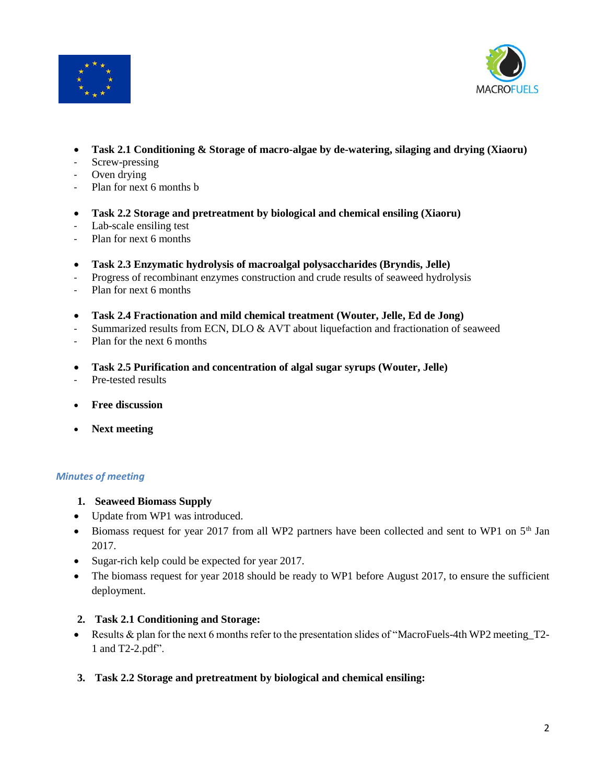



- **Task 2.1 Conditioning & Storage of macro-algae by de-watering, silaging and drying (Xiaoru)**
- Screw-pressing
- Oven drying
- Plan for next 6 months b
- **Task 2.2 Storage and pretreatment by biological and chemical ensiling (Xiaoru)**
- Lab-scale ensiling test
- Plan for next 6 months
- **Task 2.3 Enzymatic hydrolysis of macroalgal polysaccharides (Bryndis, Jelle)**
- Progress of recombinant enzymes construction and crude results of seaweed hydrolysis
- Plan for next 6 months
- **Task 2.4 Fractionation and mild chemical treatment (Wouter, Jelle, Ed de Jong)**
- Summarized results from ECN, DLO & AVT about liquefaction and fractionation of seaweed
- Plan for the next 6 months
- **Task 2.5 Purification and concentration of algal sugar syrups (Wouter, Jelle)**
- Pre-tested results
- **Free discussion**
- **Next meeting**

#### *Minutes of meeting*

- **1. Seaweed Biomass Supply**
- Update from WP1 was introduced.
- Biomass request for year 2017 from all WP2 partners have been collected and sent to WP1 on 5<sup>th</sup> Jan 2017.
- Sugar-rich kelp could be expected for year 2017.
- The biomass request for year 2018 should be ready to WP1 before August 2017, to ensure the sufficient deployment.

#### **2. Task 2.1 Conditioning and Storage:**

- Results & plan for the next 6 months refer to the presentation slides of "MacroFuels-4th WP2 meeting\_T2- 1 and T2-2.pdf".
- **3. Task 2.2 Storage and pretreatment by biological and chemical ensiling:**